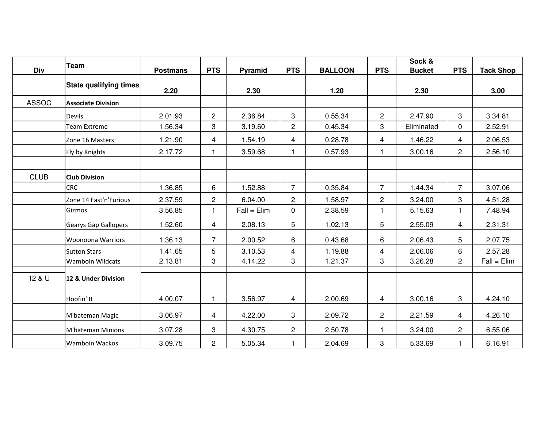| Div          | <b>Team</b>                   | <b>Postmans</b> | <b>PTS</b>     | Pyramid       | <b>PTS</b>     | <b>BALLOON</b> | <b>PTS</b>     | Sock &<br><b>Bucket</b> | <b>PTS</b>     | <b>Tack Shop</b> |
|--------------|-------------------------------|-----------------|----------------|---------------|----------------|----------------|----------------|-------------------------|----------------|------------------|
|              |                               |                 |                |               |                |                |                |                         |                |                  |
|              | <b>State qualifying times</b> | 2.20            |                | 2.30          |                | 1.20           |                | 2.30                    |                | 3.00             |
| <b>ASSOC</b> | <b>Associate Division</b>     |                 |                |               |                |                |                |                         |                |                  |
|              | <b>Devils</b>                 | 2.01.93         | $\overline{c}$ | 2.36.84       | 3              | 0.55.34        | $\overline{c}$ | 2.47.90                 | 3              | 3.34.81          |
|              | Team Extreme                  | 1.56.34         | 3              | 3.19.60       | $\overline{2}$ | 0.45.34        | 3              | Eliminated              | $\mathbf 0$    | 2.52.91          |
|              | Zone 16 Masters               | 1.21.90         | 4              | 1.54.19       | 4              | 0.28.78        | 4              | 1.46.22                 | 4              | 2.06.53          |
|              | Fly by Knights                | 2.17.72         |                | 3.59.68       | 1              | 0.57.93        | 1              | 3.00.16                 | $\overline{2}$ | 2.56.10          |
|              |                               |                 |                |               |                |                |                |                         |                |                  |
| <b>CLUB</b>  | <b>Club Division</b>          |                 |                |               |                |                |                |                         |                |                  |
|              | <b>CRC</b>                    | 1.36.85         | 6              | 1.52.88       | $\overline{7}$ | 0.35.84        | $\overline{7}$ | 1.44.34                 | $\overline{7}$ | 3.07.06          |
|              | Zone 14 Fast'n'Furious        | 2.37.59         | $\mathbf{2}$   | 6.04.00       | $\overline{2}$ | 1.58.97        | $\overline{2}$ | 3.24.00                 | 3              | 4.51.28          |
|              | Gizmos                        | 3.56.85         |                | $Fall = Elim$ | 0              | 2.38.59        | 1              | 5.15.63                 |                | 7.48.94          |
|              | Gearys Gap Gallopers          | 1.52.60         | $\overline{4}$ | 2.08.13       | 5              | 1.02.13        | 5              | 2.55.09                 | $\overline{4}$ | 2.31.31          |
|              | <b>Woonoona Warriors</b>      | 1.36.13         | $\overline{7}$ | 2.00.52       | 6              | 0.43.68        | 6              | 2.06.43                 | 5              | 2.07.75          |
|              | <b>Sutton Stars</b>           | 1.41.65         | 5              | 3.10.53       | $\overline{4}$ | 1.19.88        | 4              | 2.06.06                 | 6              | 2.57.28          |
|              | <b>Wamboin Wildcats</b>       | 2.13.81         | 3              | 4.14.22       | 3              | 1.21.37        | 3              | 3.26.28                 | $\overline{2}$ | $Fall = Elim$    |
| 12 & U       | 12 & Under Division           |                 |                |               |                |                |                |                         |                |                  |
|              | Hoofin' It                    | 4.00.07         | $\mathbf{1}$   | 3.56.97       | 4              | 2.00.69        | 4              | 3.00.16                 | 3              | 4.24.10          |
|              | M'bateman Magic               | 3.06.97         | $\overline{4}$ | 4.22.00       | 3              | 2.09.72        | $\mathbf{2}$   | 2.21.59                 | 4              | 4.26.10          |
|              | M'bateman Minions             | 3.07.28         | 3              | 4.30.75       | $\overline{2}$ | 2.50.78        | 1              | 3.24.00                 | $\mathbf{2}$   | 6.55.06          |
|              | <b>Wamboin Wackos</b>         | 3.09.75         | $\overline{2}$ | 5.05.34       | 1              | 2.04.69        | 3              | 5.33.69                 |                | 6.16.91          |